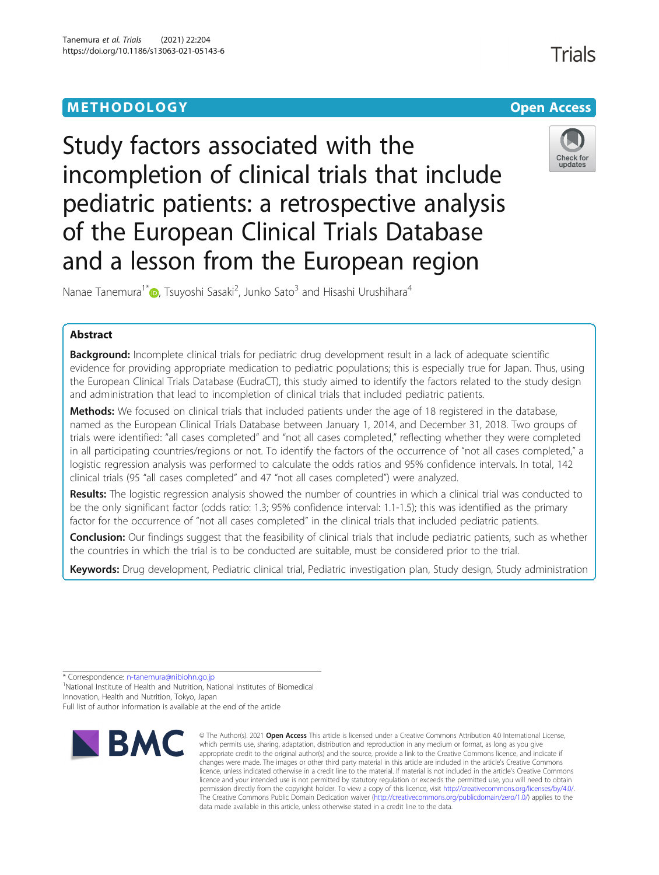# **METHODOLOGY CONSUMING ACCESS CONSUMING ACCESS**





Nanae Tanemura<sup>1\*</sup> (D[,](http://orcid.org/0000-0002-1787-9571) Tsuyoshi Sasaki<sup>2</sup>, Junko Sato<sup>3</sup> and Hisashi Urushihara<sup>4</sup>

# Abstract

Background: Incomplete clinical trials for pediatric drug development result in a lack of adequate scientific evidence for providing appropriate medication to pediatric populations; this is especially true for Japan. Thus, using the European Clinical Trials Database (EudraCT), this study aimed to identify the factors related to the study design and administration that lead to incompletion of clinical trials that included pediatric patients.

Methods: We focused on clinical trials that included patients under the age of 18 registered in the database, named as the European Clinical Trials Database between January 1, 2014, and December 31, 2018. Two groups of trials were identified: "all cases completed" and "not all cases completed," reflecting whether they were completed in all participating countries/regions or not. To identify the factors of the occurrence of "not all cases completed," a logistic regression analysis was performed to calculate the odds ratios and 95% confidence intervals. In total, 142 clinical trials (95 "all cases completed" and 47 "not all cases completed") were analyzed.

Results: The logistic regression analysis showed the number of countries in which a clinical trial was conducted to be the only significant factor (odds ratio: 1.3; 95% confidence interval: 1.1-1.5); this was identified as the primary factor for the occurrence of "not all cases completed" in the clinical trials that included pediatric patients.

Conclusion: Our findings suggest that the feasibility of clinical trials that include pediatric patients, such as whether the countries in which the trial is to be conducted are suitable, must be considered prior to the trial.

Keywords: Drug development, Pediatric clinical trial, Pediatric investigation plan, Study design, Study administration

\* Correspondence: [n-tanemura@nibiohn.go.jp](mailto:n-tanemura@nibiohn.go.jp) <sup>1</sup>

Full list of author information is available at the end of the article



<sup>©</sup> The Author(s), 2021 **Open Access** This article is licensed under a Creative Commons Attribution 4.0 International License, which permits use, sharing, adaptation, distribution and reproduction in any medium or format, as long as you give appropriate credit to the original author(s) and the source, provide a link to the Creative Commons licence, and indicate if changes were made. The images or other third party material in this article are included in the article's Creative Commons licence, unless indicated otherwise in a credit line to the material. If material is not included in the article's Creative Commons licence and your intended use is not permitted by statutory regulation or exceeds the permitted use, you will need to obtain permission directly from the copyright holder. To view a copy of this licence, visit [http://creativecommons.org/licenses/by/4.0/.](http://creativecommons.org/licenses/by/4.0/) The Creative Commons Public Domain Dedication waiver [\(http://creativecommons.org/publicdomain/zero/1.0/](http://creativecommons.org/publicdomain/zero/1.0/)) applies to the data made available in this article, unless otherwise stated in a credit line to the data.

<sup>&</sup>lt;sup>1</sup>National Institute of Health and Nutrition, National Institutes of Biomedical Innovation, Health and Nutrition, Tokyo, Japan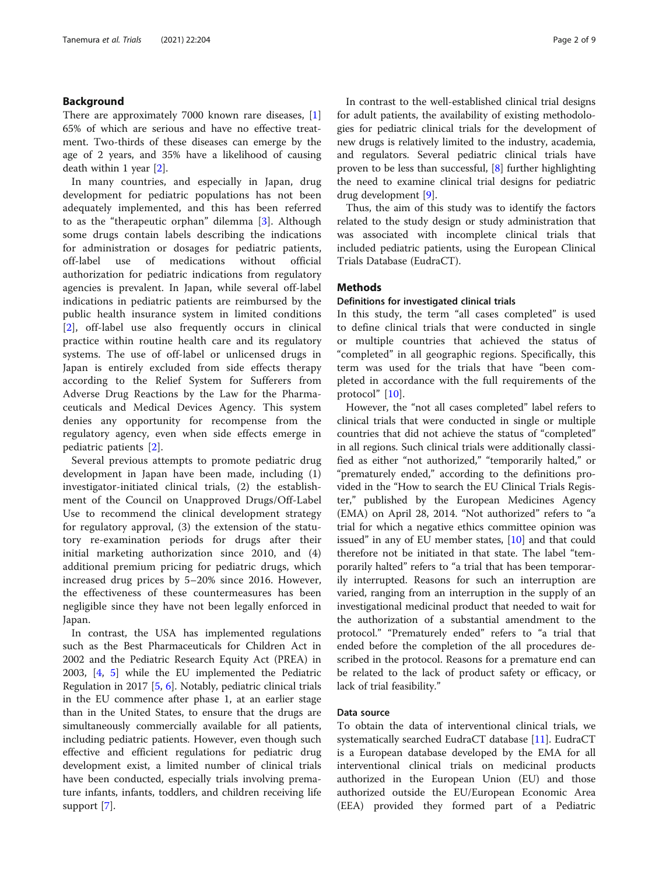# Background

There are approximately 7000 known rare diseases, [\[1](#page-7-0)] 65% of which are serious and have no effective treatment. Two-thirds of these diseases can emerge by the age of 2 years, and 35% have a likelihood of causing death within 1 year [[2\]](#page-7-0).

In many countries, and especially in Japan, drug development for pediatric populations has not been adequately implemented, and this has been referred to as the "therapeutic orphan" dilemma [[3\]](#page-7-0). Although some drugs contain labels describing the indications for administration or dosages for pediatric patients, off-label use of medications without official authorization for pediatric indications from regulatory agencies is prevalent. In Japan, while several off-label indications in pediatric patients are reimbursed by the public health insurance system in limited conditions [[2\]](#page-7-0), off-label use also frequently occurs in clinical practice within routine health care and its regulatory systems. The use of off-label or unlicensed drugs in Japan is entirely excluded from side effects therapy according to the Relief System for Sufferers from Adverse Drug Reactions by the Law for the Pharmaceuticals and Medical Devices Agency. This system denies any opportunity for recompense from the regulatory agency, even when side effects emerge in pediatric patients [[2](#page-7-0)].

Several previous attempts to promote pediatric drug development in Japan have been made, including (1) investigator-initiated clinical trials, (2) the establishment of the Council on Unapproved Drugs/Off-Label Use to recommend the clinical development strategy for regulatory approval, (3) the extension of the statutory re-examination periods for drugs after their initial marketing authorization since 2010, and (4) additional premium pricing for pediatric drugs, which increased drug prices by 5–20% since 2016. However, the effectiveness of these countermeasures has been negligible since they have not been legally enforced in Japan.

In contrast, the USA has implemented regulations such as the Best Pharmaceuticals for Children Act in 2002 and the Pediatric Research Equity Act (PREA) in 2003, [\[4](#page-7-0), [5\]](#page-7-0) while the EU implemented the Pediatric Regulation in 2017 [[5,](#page-7-0) [6\]](#page-7-0). Notably, pediatric clinical trials in the EU commence after phase 1, at an earlier stage than in the United States, to ensure that the drugs are simultaneously commercially available for all patients, including pediatric patients. However, even though such effective and efficient regulations for pediatric drug development exist, a limited number of clinical trials have been conducted, especially trials involving premature infants, infants, toddlers, and children receiving life support [\[7](#page-7-0)].

In contrast to the well-established clinical trial designs for adult patients, the availability of existing methodologies for pediatric clinical trials for the development of new drugs is relatively limited to the industry, academia, and regulators. Several pediatric clinical trials have proven to be less than successful, [\[8](#page-7-0)] further highlighting the need to examine clinical trial designs for pediatric drug development [\[9](#page-7-0)].

Thus, the aim of this study was to identify the factors related to the study design or study administration that was associated with incomplete clinical trials that included pediatric patients, using the European Clinical Trials Database (EudraCT).

# **Methods**

# Definitions for investigated clinical trials

In this study, the term "all cases completed" is used to define clinical trials that were conducted in single or multiple countries that achieved the status of "completed" in all geographic regions. Specifically, this term was used for the trials that have "been completed in accordance with the full requirements of the protocol" [[10\]](#page-7-0).

However, the "not all cases completed" label refers to clinical trials that were conducted in single or multiple countries that did not achieve the status of "completed" in all regions. Such clinical trials were additionally classified as either "not authorized," "temporarily halted," or "prematurely ended," according to the definitions provided in the "How to search the EU Clinical Trials Register," published by the European Medicines Agency (EMA) on April 28, 2014. "Not authorized" refers to "a trial for which a negative ethics committee opinion was issued" in any of EU member states,  $[10]$  $[10]$  and that could therefore not be initiated in that state. The label "temporarily halted" refers to "a trial that has been temporarily interrupted. Reasons for such an interruption are varied, ranging from an interruption in the supply of an investigational medicinal product that needed to wait for the authorization of a substantial amendment to the protocol." "Prematurely ended" refers to "a trial that ended before the completion of the all procedures described in the protocol. Reasons for a premature end can be related to the lack of product safety or efficacy, or lack of trial feasibility."

# Data source

To obtain the data of interventional clinical trials, we systematically searched EudraCT database [\[11](#page-7-0)]. EudraCT is a European database developed by the EMA for all interventional clinical trials on medicinal products authorized in the European Union (EU) and those authorized outside the EU/European Economic Area (EEA) provided they formed part of a Pediatric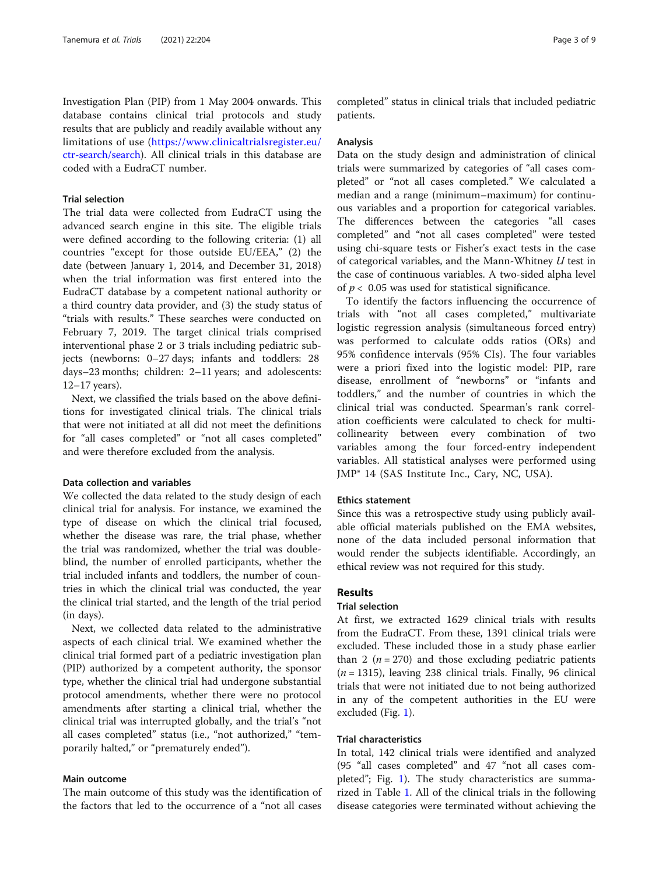Investigation Plan (PIP) from 1 May 2004 onwards. This database contains clinical trial protocols and study results that are publicly and readily available without any limitations of use ([https://www.clinicaltrialsregister.eu/](https://www.clinicaltrialsregister.eu/ctr-search/search) [ctr-search/search](https://www.clinicaltrialsregister.eu/ctr-search/search)). All clinical trials in this database are coded with a EudraCT number.

# Trial selection

The trial data were collected from EudraCT using the advanced search engine in this site. The eligible trials were defined according to the following criteria: (1) all countries "except for those outside EU/EEA," (2) the date (between January 1, 2014, and December 31, 2018) when the trial information was first entered into the EudraCT database by a competent national authority or a third country data provider, and (3) the study status of "trials with results." These searches were conducted on February 7, 2019. The target clinical trials comprised interventional phase 2 or 3 trials including pediatric subjects (newborns: 0–27 days; infants and toddlers: 28 days–23 months; children: 2–11 years; and adolescents: 12–17 years).

Next, we classified the trials based on the above definitions for investigated clinical trials. The clinical trials that were not initiated at all did not meet the definitions for "all cases completed" or "not all cases completed" and were therefore excluded from the analysis.

# Data collection and variables

We collected the data related to the study design of each clinical trial for analysis. For instance, we examined the type of disease on which the clinical trial focused, whether the disease was rare, the trial phase, whether the trial was randomized, whether the trial was doubleblind, the number of enrolled participants, whether the trial included infants and toddlers, the number of countries in which the clinical trial was conducted, the year the clinical trial started, and the length of the trial period (in days).

Next, we collected data related to the administrative aspects of each clinical trial. We examined whether the clinical trial formed part of a pediatric investigation plan (PIP) authorized by a competent authority, the sponsor type, whether the clinical trial had undergone substantial protocol amendments, whether there were no protocol amendments after starting a clinical trial, whether the clinical trial was interrupted globally, and the trial's "not all cases completed" status (i.e., "not authorized," "temporarily halted," or "prematurely ended").

# Main outcome

The main outcome of this study was the identification of the factors that led to the occurrence of a "not all cases

completed" status in clinical trials that included pediatric patients.

### Analysis

Data on the study design and administration of clinical trials were summarized by categories of "all cases completed" or "not all cases completed." We calculated a median and a range (minimum–maximum) for continuous variables and a proportion for categorical variables. The differences between the categories "all cases completed" and "not all cases completed" were tested using chi-square tests or Fisher's exact tests in the case of categorical variables, and the Mann-Whitney U test in the case of continuous variables. A two-sided alpha level of  $p < 0.05$  was used for statistical significance.

To identify the factors influencing the occurrence of trials with "not all cases completed," multivariate logistic regression analysis (simultaneous forced entry) was performed to calculate odds ratios (ORs) and 95% confidence intervals (95% CIs). The four variables were a priori fixed into the logistic model: PIP, rare disease, enrollment of "newborns" or "infants and toddlers," and the number of countries in which the clinical trial was conducted. Spearman's rank correlation coefficients were calculated to check for multicollinearity between every combination of two variables among the four forced-entry independent variables. All statistical analyses were performed using JMP® 14 (SAS Institute Inc., Cary, NC, USA).

### Ethics statement

Since this was a retrospective study using publicly available official materials published on the EMA websites, none of the data included personal information that would render the subjects identifiable. Accordingly, an ethical review was not required for this study.

# Results

# Trial selection

At first, we extracted 1629 clinical trials with results from the EudraCT. From these, 1391 clinical trials were excluded. These included those in a study phase earlier than 2 ( $n = 270$ ) and those excluding pediatric patients  $(n = 1315)$ , leaving 238 clinical trials. Finally, 96 clinical trials that were not initiated due to not being authorized in any of the competent authorities in the EU were excluded (Fig. [1\)](#page-3-0).

### Trial characteristics

In total, 142 clinical trials were identified and analyzed (95 "all cases completed" and 47 "not all cases completed"; Fig. [1](#page-3-0)). The study characteristics are summarized in Table [1](#page-4-0). All of the clinical trials in the following disease categories were terminated without achieving the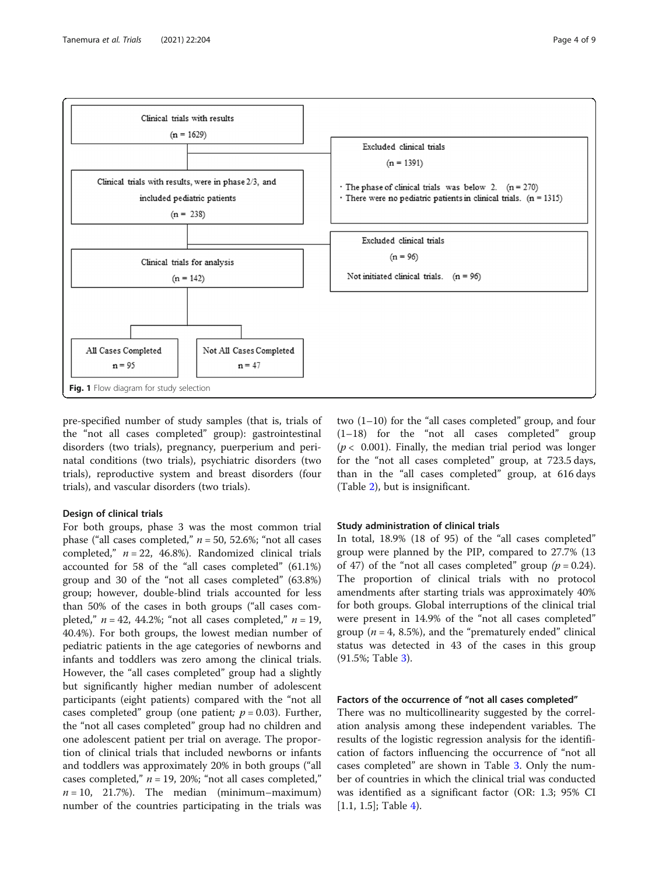<span id="page-3-0"></span>

pre-specified number of study samples (that is, trials of the "not all cases completed" group): gastrointestinal disorders (two trials), pregnancy, puerperium and perinatal conditions (two trials), psychiatric disorders (two trials), reproductive system and breast disorders (four trials), and vascular disorders (two trials).

# Design of clinical trials

For both groups, phase 3 was the most common trial phase ("all cases completed,"  $n = 50$ , 52.6%; "not all cases completed,"  $n = 22$ , 46.8%). Randomized clinical trials accounted for 58 of the "all cases completed" (61.1%) group and 30 of the "not all cases completed" (63.8%) group; however, double-blind trials accounted for less than 50% of the cases in both groups ("all cases completed,"  $n = 42$ , 44.2%; "not all cases completed,"  $n = 19$ , 40.4%). For both groups, the lowest median number of pediatric patients in the age categories of newborns and infants and toddlers was zero among the clinical trials. However, the "all cases completed" group had a slightly but significantly higher median number of adolescent participants (eight patients) compared with the "not all cases completed" group (one patient;  $p = 0.03$ ). Further, the "not all cases completed" group had no children and one adolescent patient per trial on average. The proportion of clinical trials that included newborns or infants and toddlers was approximately 20% in both groups ("all cases completed,"  $n = 19$ , 20%; "not all cases completed,"  $n = 10$ , 21.7%). The median (minimum–maximum) number of the countries participating in the trials was two (1–10) for the "all cases completed" group, and four  $(1-18)$  for the "not all cases completed" group  $(p < 0.001)$ . Finally, the median trial period was longer for the "not all cases completed" group, at 723.5 days, than in the "all cases completed" group, at 616 days (Table [2\)](#page-5-0), but is insignificant.

### Study administration of clinical trials

In total, 18.9% (18 of 95) of the "all cases completed" group were planned by the PIP, compared to 27.7% (13 of 47) of the "not all cases completed" group  $(p = 0.24)$ . The proportion of clinical trials with no protocol amendments after starting trials was approximately 40% for both groups. Global interruptions of the clinical trial were present in 14.9% of the "not all cases completed" group ( $n = 4$ , 8.5%), and the "prematurely ended" clinical status was detected in 43 of the cases in this group (91.5%; Table [3\)](#page-5-0).

# Factors of the occurrence of "not all cases completed"

There was no multicollinearity suggested by the correlation analysis among these independent variables. The results of the logistic regression analysis for the identification of factors influencing the occurrence of "not all cases completed" are shown in Table [3.](#page-5-0) Only the number of countries in which the clinical trial was conducted was identified as a significant factor (OR: 1.3; 95% CI  $[1.1, 1.5]$ ; Table [4](#page-6-0)).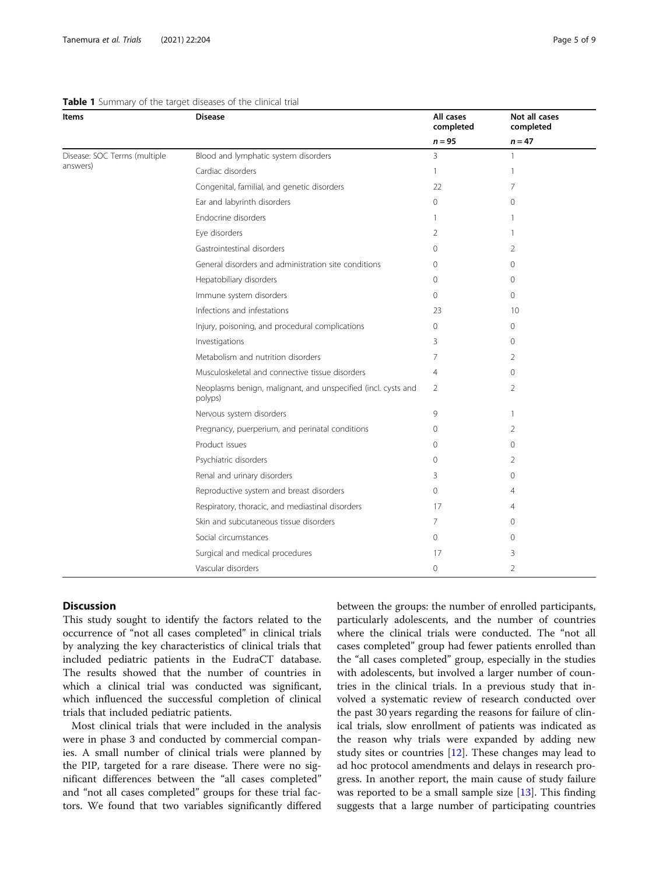# <span id="page-4-0"></span>Table 1 Summary of the target diseases of the clinical trial

| Items                                    | <b>Disease</b>                                                           | All cases<br>completed | Not all cases<br>completed |
|------------------------------------------|--------------------------------------------------------------------------|------------------------|----------------------------|
|                                          |                                                                          | $n = 95$               | $n = 47$                   |
| Disease: SOC Terms (multiple<br>answers) | Blood and lymphatic system disorders                                     | 3                      | $\mathbf{1}$               |
|                                          | Cardiac disorders                                                        | $\mathbf{1}$           | $\mathbf{1}$               |
|                                          | Congenital, familial, and genetic disorders                              | 22                     | 7                          |
|                                          | Ear and labyrinth disorders                                              | $\circ$                | 0                          |
|                                          | Endocrine disorders                                                      | $\mathbf{1}$           | 1                          |
|                                          | Eye disorders                                                            | $\overline{2}$         | $\mathbf{1}$               |
|                                          | Gastrointestinal disorders                                               | $\mathbf{0}$           | 2                          |
|                                          | General disorders and administration site conditions                     | $\mathbf{0}$           | 0                          |
|                                          | Hepatobiliary disorders                                                  | $\mathbf{0}$           | 0                          |
|                                          | Immune system disorders                                                  | $\Omega$               | $\Omega$                   |
|                                          | Infections and infestations                                              | 23                     | 10                         |
|                                          | Injury, poisoning, and procedural complications                          | $\mathbf{0}$           | 0                          |
|                                          | Investigations                                                           | 3                      | 0                          |
|                                          | Metabolism and nutrition disorders                                       | 7                      | 2                          |
|                                          | Musculoskeletal and connective tissue disorders                          | $\overline{4}$         | $\Omega$                   |
|                                          | Neoplasms benign, malignant, and unspecified (incl. cysts and<br>polyps) | $\overline{2}$         | 2                          |
|                                          | Nervous system disorders                                                 | 9                      | $\mathbf{1}$               |
|                                          | Pregnancy, puerperium, and perinatal conditions                          | $\circ$                | 2                          |
|                                          | Product issues                                                           | $\mathbf 0$            | 0                          |
|                                          | Psychiatric disorders                                                    | $\Omega$               | 2                          |
|                                          | Renal and urinary disorders                                              | 3                      | 0                          |
|                                          | Reproductive system and breast disorders                                 | $\circ$                | 4                          |
|                                          | Respiratory, thoracic, and mediastinal disorders                         | 17                     | 4                          |
|                                          | Skin and subcutaneous tissue disorders                                   | 7                      | 0                          |
|                                          | Social circumstances                                                     | $\circ$                | 0                          |
|                                          | Surgical and medical procedures                                          | 17                     | 3                          |
|                                          | Vascular disorders                                                       | $\circ$                | $\overline{2}$             |

# **Discussion**

This study sought to identify the factors related to the occurrence of "not all cases completed" in clinical trials by analyzing the key characteristics of clinical trials that included pediatric patients in the EudraCT database. The results showed that the number of countries in which a clinical trial was conducted was significant, which influenced the successful completion of clinical trials that included pediatric patients.

Most clinical trials that were included in the analysis were in phase 3 and conducted by commercial companies. A small number of clinical trials were planned by the PIP, targeted for a rare disease. There were no significant differences between the "all cases completed" and "not all cases completed" groups for these trial factors. We found that two variables significantly differed between the groups: the number of enrolled participants, particularly adolescents, and the number of countries where the clinical trials were conducted. The "not all cases completed" group had fewer patients enrolled than the "all cases completed" group, especially in the studies with adolescents, but involved a larger number of countries in the clinical trials. In a previous study that involved a systematic review of research conducted over the past 30 years regarding the reasons for failure of clinical trials, slow enrollment of patients was indicated as the reason why trials were expanded by adding new study sites or countries  $[12]$  $[12]$ . These changes may lead to ad hoc protocol amendments and delays in research progress. In another report, the main cause of study failure was reported to be a small sample size  $[13]$  $[13]$ . This finding suggests that a large number of participating countries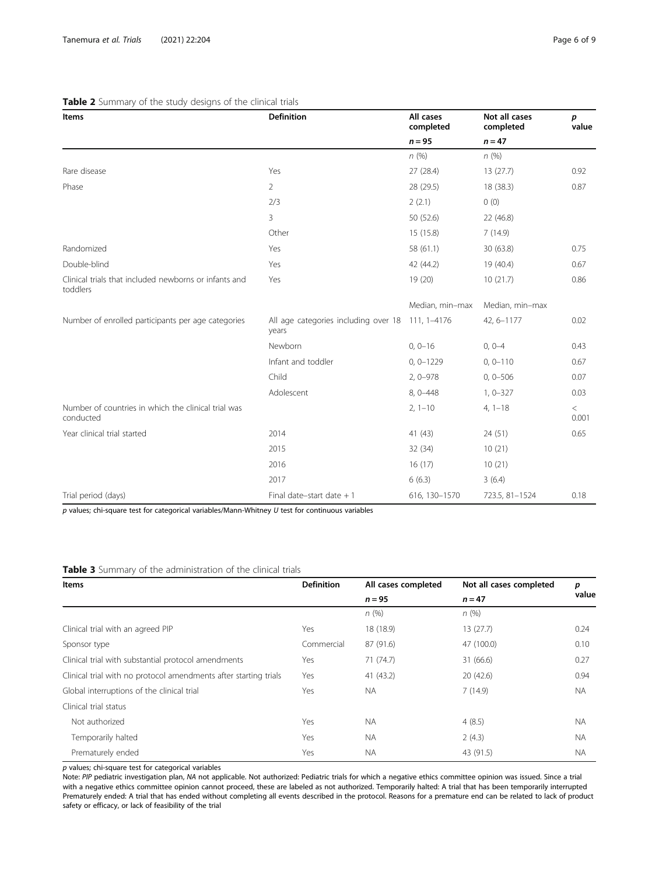# <span id="page-5-0"></span>Table 2 Summary of the study designs of the clinical trials

| Items                                                             | <b>Definition</b>                                         | All cases<br>completed | Not all cases<br>completed | p<br>value     |
|-------------------------------------------------------------------|-----------------------------------------------------------|------------------------|----------------------------|----------------|
|                                                                   |                                                           | $n = 95$               | $n = 47$                   |                |
|                                                                   |                                                           | n(%)                   | n(%)                       |                |
| Rare disease                                                      | Yes                                                       | 27 (28.4)              | 13(27.7)                   | 0.92           |
| Phase                                                             | $\overline{2}$                                            | 28 (29.5)              | 18 (38.3)                  | 0.87           |
|                                                                   | 2/3                                                       | 2(2.1)                 | 0(0)                       |                |
|                                                                   | 3                                                         | 50 (52.6)              | 22 (46.8)                  |                |
|                                                                   | Other                                                     | 15 (15.8)              | 7(14.9)                    |                |
| Randomized                                                        | Yes                                                       | 58 (61.1)              | 30 (63.8)                  | 0.75           |
| Double-blind                                                      | Yes                                                       | 42 (44.2)              | 19 (40.4)                  | 0.67           |
| Clinical trials that included newborns or infants and<br>toddlers | Yes                                                       | 19 (20)                | 10(21.7)                   | 0.86           |
|                                                                   |                                                           | Median, min-max        | Median, min-max            |                |
| Number of enrolled participants per age categories                | All age categories including over 18 111, 1-4176<br>years |                        | 42, 6-1177                 | 0.02           |
|                                                                   | Newborn                                                   | $0, 0 - 16$            | $0, 0-4$                   | 0.43           |
|                                                                   | Infant and toddler                                        | $0, 0 - 1229$          | $0, 0 - 110$               | 0.67           |
|                                                                   | Child                                                     | $2, 0 - 978$           | $0, 0 - 506$               | 0.07           |
|                                                                   | Adolescent                                                | 8, 0-448               | $1, 0 - 327$               | 0.03           |
| Number of countries in which the clinical trial was<br>conducted  |                                                           | $2, 1 - 10$            | $4, 1-18$                  | $\,<$<br>0.001 |
| Year clinical trial started                                       | 2014                                                      | 41 (43)                | 24 (51)                    | 0.65           |
|                                                                   | 2015                                                      | 32 (34)                | 10(21)                     |                |
|                                                                   | 2016                                                      | 16(17)                 | 10(21)                     |                |
|                                                                   | 2017                                                      | 6(6.3)                 | 3(6.4)                     |                |
| Trial period (days)                                               | Final date-start date $+1$                                | 616, 130-1570          | 723.5, 81-1524             | 0.18           |

 $p$  values; chi-square test for categorical variables/Mann-Whitney  $U$  test for continuous variables

# Table 3 Summary of the administration of the clinical trials

| Items                                                            | <b>Definition</b> | All cases completed | Not all cases completed | р<br>value |
|------------------------------------------------------------------|-------------------|---------------------|-------------------------|------------|
|                                                                  |                   | $n = 95$            | $n = 47$                |            |
|                                                                  |                   | n(%)                | n(%)                    |            |
| Clinical trial with an agreed PIP                                | Yes               | 18 (18.9)           | 13(27.7)                | 0.24       |
| Sponsor type                                                     | Commercial        | 87 (91.6)           | 47 (100.0)              | 0.10       |
| Clinical trial with substantial protocol amendments              | Yes               | 71(74.7)            | 31 (66.6)               | 0.27       |
| Clinical trial with no protocol amendments after starting trials | Yes               | 41(43.2)            | 20(42.6)                | 0.94       |
| Global interruptions of the clinical trial                       | Yes               | <b>NA</b>           | 7(14.9)                 | <b>NA</b>  |
| Clinical trial status                                            |                   |                     |                         |            |
| Not authorized                                                   | Yes               | <b>NA</b>           | 4(8.5)                  | <b>NA</b>  |
| Temporarily halted                                               | Yes               | <b>NA</b>           | 2(4.3)                  | <b>NA</b>  |
| Prematurely ended                                                | Yes               | <b>NA</b>           | 43 (91.5)               | <b>NA</b>  |

p values; chi-square test for categorical variables

Note: PIP pediatric investigation plan, NA not applicable. Not authorized: Pediatric trials for which a negative ethics committee opinion was issued. Since a trial with a negative ethics committee opinion cannot proceed, these are labeled as not authorized. Temporarily halted: A trial that has been temporarily interrupted Prematurely ended: A trial that has ended without completing all events described in the protocol. Reasons for a premature end can be related to lack of product safety or efficacy, or lack of feasibility of the trial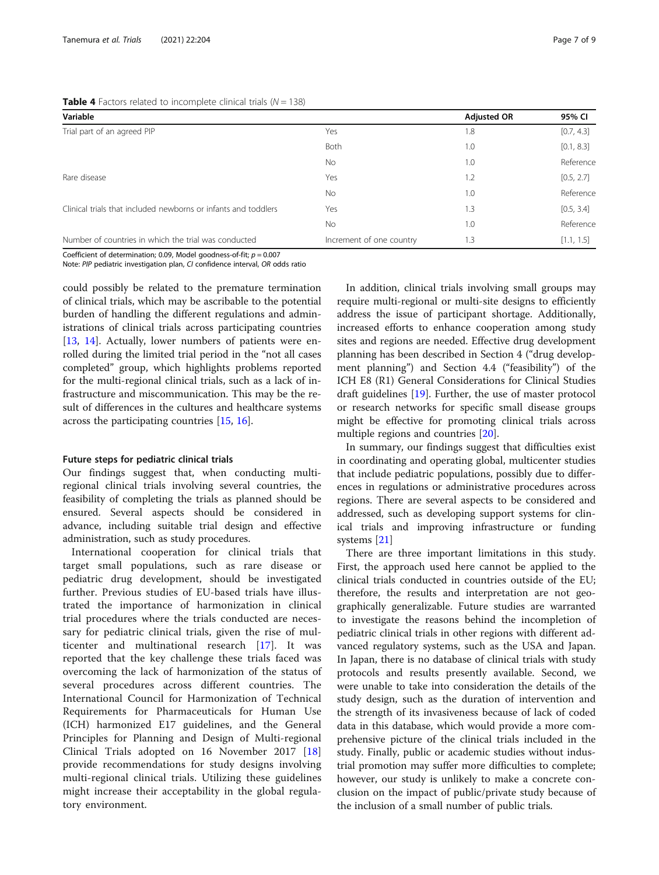<span id="page-6-0"></span>**Table 4** Factors related to incomplete clinical trials ( $N = 138$ )

| Variable                                                       |                          | <b>Adjusted OR</b> | 95% CI     |  |
|----------------------------------------------------------------|--------------------------|--------------------|------------|--|
| Trial part of an agreed PIP                                    | Yes                      | 1.8                | [0.7, 4.3] |  |
|                                                                | Both                     | 1.0                | [0.1, 8.3] |  |
|                                                                | <b>No</b>                | 1.0                | Reference  |  |
| Rare disease                                                   | Yes                      | 1.2                | [0.5, 2.7] |  |
|                                                                | <b>No</b>                | 1.0                | Reference  |  |
| Clinical trials that included newborns or infants and toddlers | Yes                      | 1.3                | [0.5, 3.4] |  |
|                                                                | <b>No</b>                | 1.0                | Reference  |  |
| Number of countries in which the trial was conducted           | Increment of one country | 1.3                | [1.1, 1.5] |  |
|                                                                |                          |                    |            |  |

Coefficient of determination; 0.09, Model goodness-of-fit;  $p = 0.007$ 

Note: PIP pediatric investigation plan, CI confidence interval, OR odds ratio

could possibly be related to the premature termination of clinical trials, which may be ascribable to the potential burden of handling the different regulations and administrations of clinical trials across participating countries [[13,](#page-7-0) [14](#page-7-0)]. Actually, lower numbers of patients were enrolled during the limited trial period in the "not all cases completed" group, which highlights problems reported for the multi-regional clinical trials, such as a lack of infrastructure and miscommunication. This may be the result of differences in the cultures and healthcare systems across the participating countries [[15,](#page-7-0) [16\]](#page-7-0).

### Future steps for pediatric clinical trials

Our findings suggest that, when conducting multiregional clinical trials involving several countries, the feasibility of completing the trials as planned should be ensured. Several aspects should be considered in advance, including suitable trial design and effective administration, such as study procedures.

International cooperation for clinical trials that target small populations, such as rare disease or pediatric drug development, should be investigated further. Previous studies of EU-based trials have illustrated the importance of harmonization in clinical trial procedures where the trials conducted are necessary for pediatric clinical trials, given the rise of multicenter and multinational research [[17\]](#page-7-0). It was reported that the key challenge these trials faced was overcoming the lack of harmonization of the status of several procedures across different countries. The International Council for Harmonization of Technical Requirements for Pharmaceuticals for Human Use (ICH) harmonized E17 guidelines, and the General Principles for Planning and Design of Multi-regional Clinical Trials adopted on 16 November 2017 [\[18](#page-7-0)] provide recommendations for study designs involving multi-regional clinical trials. Utilizing these guidelines might increase their acceptability in the global regulatory environment.

In addition, clinical trials involving small groups may require multi-regional or multi-site designs to efficiently address the issue of participant shortage. Additionally, increased efforts to enhance cooperation among study sites and regions are needed. Effective drug development planning has been described in Section 4 ("drug development planning") and Section 4.4 ("feasibility") of the ICH E8 (R1) General Considerations for Clinical Studies draft guidelines [[19](#page-8-0)]. Further, the use of master protocol or research networks for specific small disease groups might be effective for promoting clinical trials across multiple regions and countries [\[20\]](#page-8-0).

In summary, our findings suggest that difficulties exist in coordinating and operating global, multicenter studies that include pediatric populations, possibly due to differences in regulations or administrative procedures across regions. There are several aspects to be considered and addressed, such as developing support systems for clinical trials and improving infrastructure or funding systems [\[21](#page-8-0)]

There are three important limitations in this study. First, the approach used here cannot be applied to the clinical trials conducted in countries outside of the EU; therefore, the results and interpretation are not geographically generalizable. Future studies are warranted to investigate the reasons behind the incompletion of pediatric clinical trials in other regions with different advanced regulatory systems, such as the USA and Japan. In Japan, there is no database of clinical trials with study protocols and results presently available. Second, we were unable to take into consideration the details of the study design, such as the duration of intervention and the strength of its invasiveness because of lack of coded data in this database, which would provide a more comprehensive picture of the clinical trials included in the study. Finally, public or academic studies without industrial promotion may suffer more difficulties to complete; however, our study is unlikely to make a concrete conclusion on the impact of public/private study because of the inclusion of a small number of public trials.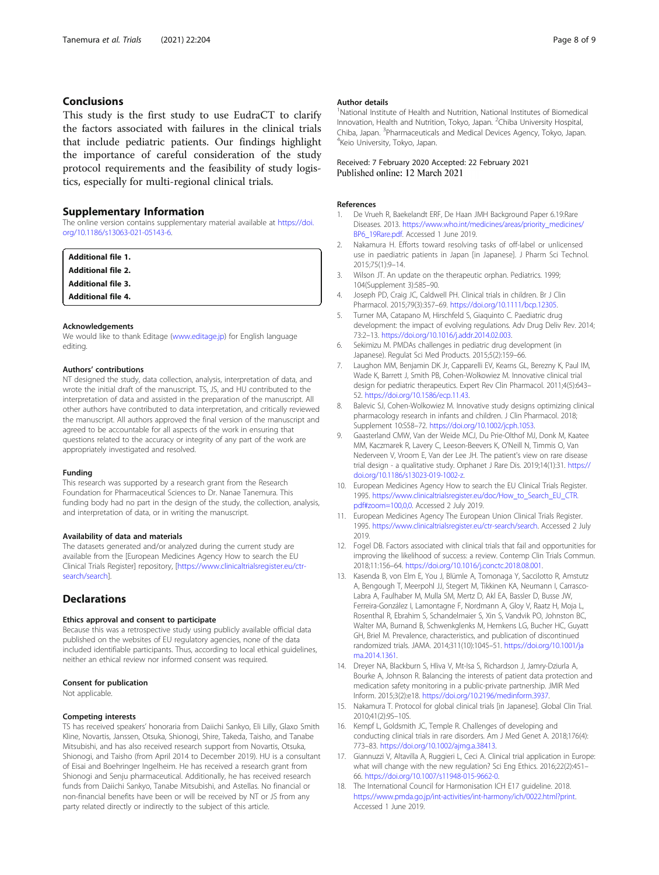# <span id="page-7-0"></span>Conclusions

This study is the first study to use EudraCT to clarify the factors associated with failures in the clinical trials that include pediatric patients. Our findings highlight the importance of careful consideration of the study protocol requirements and the feasibility of study logistics, especially for multi-regional clinical trials.

# Supplementary Information

The online version contains supplementary material available at [https://doi.](https://doi.org/10.1186/s13063-021-05143-6) [org/10.1186/s13063-021-05143-6.](https://doi.org/10.1186/s13063-021-05143-6)

Additional file 1. Additional file 2. Additional file 3.

Additional file 4.

### Acknowledgements

We would like to thank Editage ([www.editage.jp\)](http://www.editage.jp) for English language editing.

### Authors' contributions

NT designed the study, data collection, analysis, interpretation of data, and wrote the initial draft of the manuscript. TS, JS, and HU contributed to the interpretation of data and assisted in the preparation of the manuscript. All other authors have contributed to data interpretation, and critically reviewed the manuscript. All authors approved the final version of the manuscript and agreed to be accountable for all aspects of the work in ensuring that questions related to the accuracy or integrity of any part of the work are appropriately investigated and resolved.

#### Funding

This research was supported by a research grant from the Research Foundation for Pharmaceutical Sciences to Dr. Nanae Tanemura. This funding body had no part in the design of the study, the collection, analysis, and interpretation of data, or in writing the manuscript.

### Availability of data and materials

The datasets generated and/or analyzed during the current study are available from the [European Medicines Agency How to search the EU Clinical Trials Register] repository, [\[https://www.clinicaltrialsregister.eu/ctr](https://www.clinicaltrialsregister.eu/ctr-search/search)[search/search\]](https://www.clinicaltrialsregister.eu/ctr-search/search).

# **Declarations**

### Ethics approval and consent to participate

Because this was a retrospective study using publicly available official data published on the websites of EU regulatory agencies, none of the data included identifiable participants. Thus, according to local ethical guidelines, neither an ethical review nor informed consent was required.

### Consent for publication

Not applicable.

### Competing interests

TS has received speakers' honoraria from Daiichi Sankyo, Eli Lilly, Glaxo Smith Kline, Novartis, Janssen, Otsuka, Shionogi, Shire, Takeda, Taisho, and Tanabe Mitsubishi, and has also received research support from Novartis, Otsuka, Shionogi, and Taisho (from April 2014 to December 2019). HU is a consultant of Eisai and Boehringer Ingelheim. He has received a research grant from Shionogi and Senju pharmaceutical. Additionally, he has received research funds from Daiichi Sankyo, Tanabe Mitsubishi, and Astellas. No financial or non-financial benefits have been or will be received by NT or JS from any party related directly or indirectly to the subject of this article.

### Author details

<sup>1</sup>National Institute of Health and Nutrition, National Institutes of Biomedical Innovation, Health and Nutrition, Tokyo, Japan. <sup>2</sup>Chiba University Hospital, Chiba, Japan. <sup>3</sup>Pharmaceuticals and Medical Devices Agency, Tokyo, Japan.<br><sup>4</sup>Kein University Tokyo, Japan. <sup>4</sup>Keio University, Tokyo, Japan.

# Received: 7 February 2020 Accepted: 22 February 2021 Published online: 12 March 2021

### References

- 1. De Vrueh R, Baekelandt ERF, De Haan JMH Background Paper 6.19:Rare Diseases. 2013. [https://www.who.int/medicines/areas/priority\\_medicines/](https://www.who.int/medicines/areas/priority_medicines/BP6_19Rare.pdf) [BP6\\_19Rare.pdf.](https://www.who.int/medicines/areas/priority_medicines/BP6_19Rare.pdf) Accessed 1 June 2019.
- 2. Nakamura H. Efforts toward resolving tasks of off-label or unlicensed use in paediatric patients in Japan [in Japanese]. J Pharm Sci Technol. 2015;75(1):9–14.
- 3. Wilson JT. An update on the therapeutic orphan. Pediatrics. 1999; 104(Supplement 3):585–90.
- 4. Joseph PD, Craig JC, Caldwell PH. Clinical trials in children. Br J Clin Pharmacol. 2015;79(3):357–69. <https://doi.org/10.1111/bcp.12305>.
- 5. Turner MA, Catapano M, Hirschfeld S, Giaquinto C. Paediatric drug development: the impact of evolving regulations. Adv Drug Deliv Rev. 2014; 73:2–13. [https://doi.org/10.1016/j.addr.2014.02.003.](https://doi.org/10.1016/j.addr.2014.02.003)
- 6. Sekimizu M. PMDAs challenges in pediatric drug development (in Japanese). Regulat Sci Med Products. 2015;5(2):159–66.
- 7. Laughon MM, Benjamin DK Jr, Capparelli EV, Kearns GL, Berezny K, Paul IM, Wade K, Barrett J, Smith PB, Cohen-Wolkowiez M. Innovative clinical trial design for pediatric therapeutics. Expert Rev Clin Pharmacol. 2011;4(5):643– 52. <https://doi.org/10.1586/ecp.11.43>.
- 8. Balevic SJ, Cohen-Wolkowiez M. Innovative study designs optimizing clinical pharmacology research in infants and children. J Clin Pharmacol. 2018; Supplement 10:S58–72. [https://doi.org/10.1002/jcph.1053.](https://doi.org/10.1002/jcph.1053)
- 9. Gaasterland CMW, Van der Weide MCJ, Du Prie-Olthof MJ, Donk M, Kaatee MM, Kaczmarek R, Lavery C, Leeson-Beevers K, O'Neill N, Timmis O, Van Nederveen V, Vroom E, Van der Lee JH. The patient's view on rare disease trial design - a qualitative study. Orphanet J Rare Dis. 2019;14(1):31. [https://](https://doi.org/10.1186/s13023-019-1002-z) [doi.org/10.1186/s13023-019-1002-z.](https://doi.org/10.1186/s13023-019-1002-z)
- 10. European Medicines Agency How to search the EU Clinical Trials Register. 1995. [https://www.clinicaltrialsregister.eu/doc/How\\_to\\_Search\\_EU\\_CTR.](https://www.clinicaltrialsregister.eu/doc/How_to_Search_EU_CTR.pdf#zoom=100,0,0) [pdf#zoom=100,0,0](https://www.clinicaltrialsregister.eu/doc/How_to_Search_EU_CTR.pdf#zoom=100,0,0). Accessed 2 July 2019.
- 11. European Medicines Agency The European Union Clinical Trials Register. 1995. <https://www.clinicaltrialsregister.eu/ctr-search/search>. Accessed 2 July 2019.
- 12. Fogel DB. Factors associated with clinical trials that fail and opportunities for improving the likelihood of success: a review. Contemp Clin Trials Commun. 2018;11:156–64. [https://doi.org/10.1016/j.conctc.2018.08.001.](https://doi.org/10.1016/j.conctc.2018.08.001)
- 13. Kasenda B, von Elm E, You J, Blümle A, Tomonaga Y, Saccilotto R, Amstutz A, Bengough T, Meerpohl JJ, Stegert M, Tikkinen KA, Neumann I, Carrasco-Labra A, Faulhaber M, Mulla SM, Mertz D, Akl EA, Bassler D, Busse JW, Ferreira-González I, Lamontagne F, Nordmann A, Gloy V, Raatz H, Moja L, Rosenthal R, Ebrahim S, Schandelmaier S, Xin S, Vandvik PO, Johnston BC, Walter MA, Burnand B, Schwenkglenks M, Hemkens LG, Bucher HC, Guyatt GH, Briel M. Prevalence, characteristics, and publication of discontinued randomized trials. JAMA. 2014;311(10):1045–51. [https://doi.org/10.1001/ja](https://doi.org/10.1001/jama.2014.1361) [ma.2014.1361](https://doi.org/10.1001/jama.2014.1361).
- 14. Dreyer NA, Blackburn S, Hliva V, Mt-Isa S, Richardson J, Jamry-Dziurla A, Bourke A, Johnson R. Balancing the interests of patient data protection and medication safety monitoring in a public-private partnership. JMIR Med Inform. 2015;3(2):e18. [https://doi.org/10.2196/medinform.3937.](https://doi.org/10.2196/medinform.3937)
- 15. Nakamura T. Protocol for global clinical trials [in Japanese]. Global Clin Trial. 2010;41(2):9S–10S.
- 16. Kempf L, Goldsmith JC, Temple R. Challenges of developing and conducting clinical trials in rare disorders. Am J Med Genet A. 2018;176(4): 773–83. [https://doi.org/10.1002/ajmg.a.38413.](https://doi.org/10.1002/ajmg.a.38413)
- 17. Giannuzzi V, Altavilla A, Ruggieri L, Ceci A. Clinical trial application in Europe: what will change with the new regulation? Sci Eng Ethics. 2016;22(2):451– 66. <https://doi.org/10.1007/s11948-015-9662-0>.
- 18. The International Council for Harmonisation ICH E17 guideline. 2018. [https://www.pmda.go.jp/int-activities/int-harmony/ich/0022.html?print.](https://www.pmda.go.jp/int-activities/int-harmony/ich/0022.html?print) Accessed 1 June 2019.